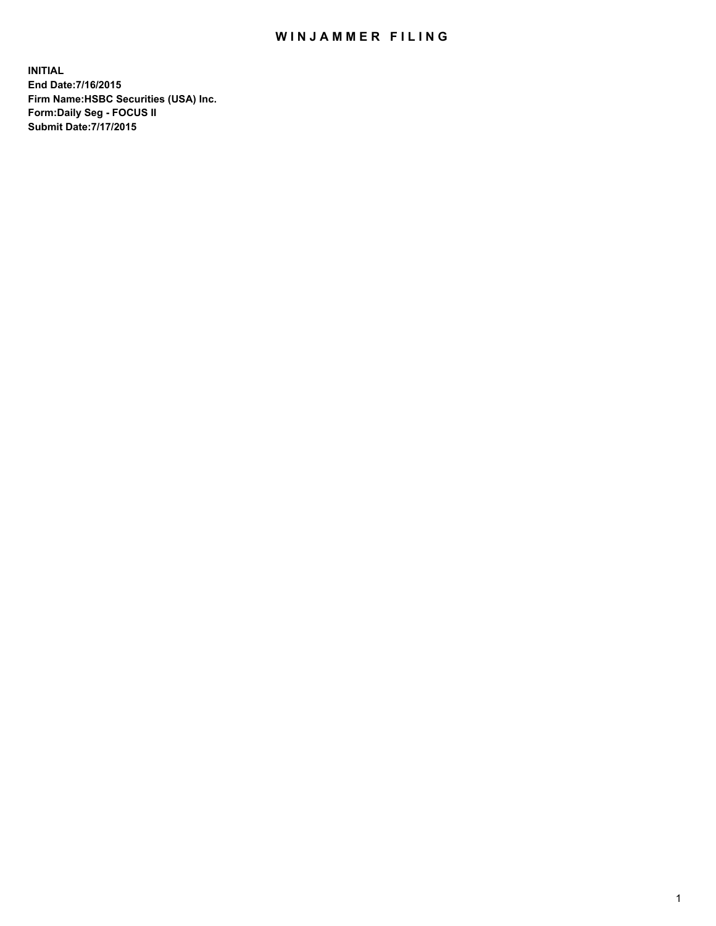## WIN JAMMER FILING

**INITIAL End Date:7/16/2015 Firm Name:HSBC Securities (USA) Inc. Form:Daily Seg - FOCUS II Submit Date:7/17/2015**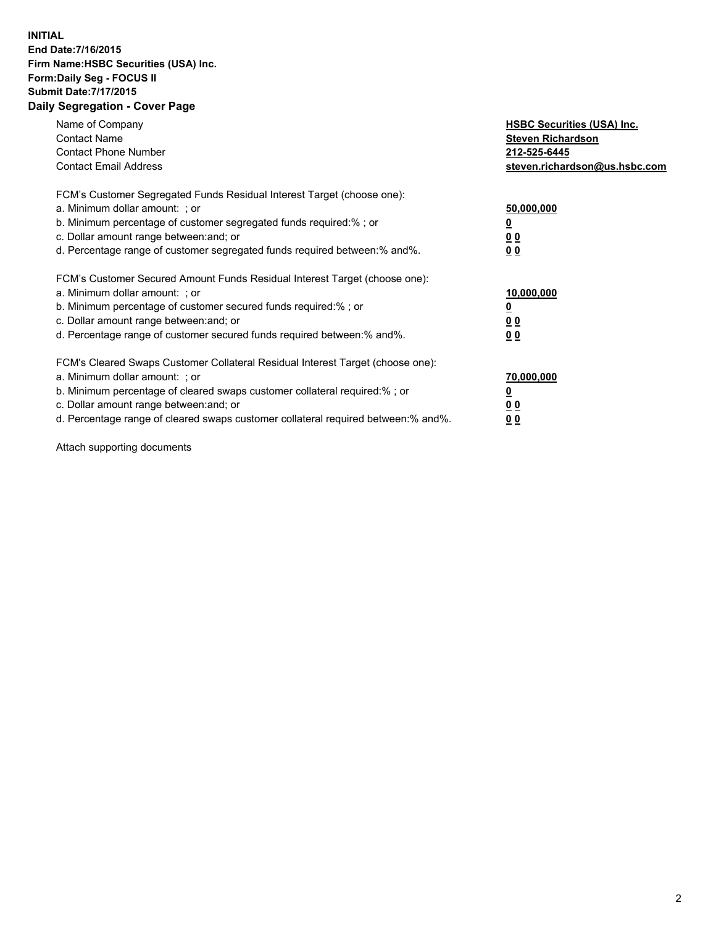## **INITIAL End Date:7/16/2015 Firm Name:HSBC Securities (USA) Inc. Form:Daily Seg - FOCUS II Submit Date:7/17/2015 Daily Segregation - Cover Page**

| Name of Company<br><b>Contact Name</b><br><b>Contact Phone Number</b><br><b>Contact Email Address</b>                                                                                                                                                                                                                         | <b>HSBC Securities (USA) Inc.</b><br><b>Steven Richardson</b><br>212-525-6445<br>steven.richardson@us.hsbc.com |
|-------------------------------------------------------------------------------------------------------------------------------------------------------------------------------------------------------------------------------------------------------------------------------------------------------------------------------|----------------------------------------------------------------------------------------------------------------|
| FCM's Customer Segregated Funds Residual Interest Target (choose one):<br>a. Minimum dollar amount: ; or<br>b. Minimum percentage of customer segregated funds required:%; or<br>c. Dollar amount range between: and; or<br>d. Percentage range of customer segregated funds required between:% and%.                         | 50,000,000<br>00<br>0 <sub>0</sub>                                                                             |
| FCM's Customer Secured Amount Funds Residual Interest Target (choose one):<br>a. Minimum dollar amount: ; or<br>b. Minimum percentage of customer secured funds required:%; or<br>c. Dollar amount range between: and; or<br>d. Percentage range of customer secured funds required between:% and%.                           | 10,000,000<br>0 <sub>0</sub><br>00                                                                             |
| FCM's Cleared Swaps Customer Collateral Residual Interest Target (choose one):<br>a. Minimum dollar amount: ; or<br>b. Minimum percentage of cleared swaps customer collateral required:%; or<br>c. Dollar amount range between: and; or<br>d. Percentage range of cleared swaps customer collateral required between:% and%. | 70,000,000<br><u>00</u><br><u>00</u>                                                                           |

Attach supporting documents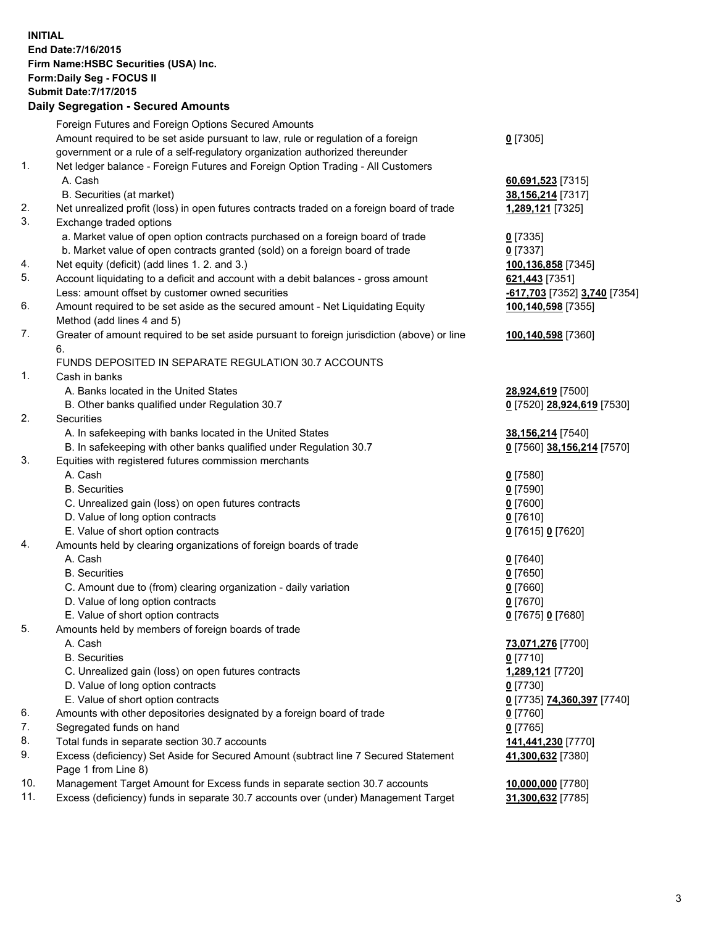**INITIAL End Date:7/16/2015 Firm Name:HSBC Securities (USA) Inc. Form:Daily Seg - FOCUS II Submit Date:7/17/2015 Daily Segregation - Secured Amounts**

Foreign Futures and Foreign Options Secured Amounts Amount required to be set aside pursuant to law, rule or regulation of a foreign government or a rule of a self-regulatory organization authorized thereunder **0** [7305] 1. Net ledger balance - Foreign Futures and Foreign Option Trading - All Customers A. Cash **60,691,523** [7315] B. Securities (at market) **38,156,214** [7317] 2. Net unrealized profit (loss) in open futures contracts traded on a foreign board of trade **1,289,121** [7325] 3. Exchange traded options a. Market value of open option contracts purchased on a foreign board of trade **0** [7335] b. Market value of open contracts granted (sold) on a foreign board of trade **0** [7337] 4. Net equity (deficit) (add lines 1. 2. and 3.) **100,136,858** [7345] 5. Account liquidating to a deficit and account with a debit balances - gross amount **621,443** [7351] Less: amount offset by customer owned securities **-617,703** [7352] **3,740** [7354] 6. Amount required to be set aside as the secured amount - Net Liquidating Equity Method (add lines 4 and 5) **100,140,598** [7355] 7. Greater of amount required to be set aside pursuant to foreign jurisdiction (above) or line 6. **100,140,598** [7360] FUNDS DEPOSITED IN SEPARATE REGULATION 30.7 ACCOUNTS 1. Cash in banks A. Banks located in the United States **28,924,619** [7500] B. Other banks qualified under Regulation 30.7 **0** [7520] **28,924,619** [7530] 2. Securities A. In safekeeping with banks located in the United States **38,156,214** [7540] B. In safekeeping with other banks qualified under Regulation 30.7 **0** [7560] **38,156,214** [7570] 3. Equities with registered futures commission merchants A. Cash **0** [7580] B. Securities **0** [7590] C. Unrealized gain (loss) on open futures contracts **0** [7600] D. Value of long option contracts **0** [7610] E. Value of short option contracts **0** [7615] **0** [7620] 4. Amounts held by clearing organizations of foreign boards of trade A. Cash **0** [7640] B. Securities **0** [7650] C. Amount due to (from) clearing organization - daily variation **0** [7660] D. Value of long option contracts **0** [7670] E. Value of short option contracts **0** [7675] **0** [7680] 5. Amounts held by members of foreign boards of trade A. Cash **73,071,276** [7700] B. Securities **0** [7710] C. Unrealized gain (loss) on open futures contracts **1,289,121** [7720] D. Value of long option contracts **0** [7730] E. Value of short option contracts **0** [7735] **74,360,397** [7740] 6. Amounts with other depositories designated by a foreign board of trade **0** [7760] 7. Segregated funds on hand **0** [7765] 8. Total funds in separate section 30.7 accounts **141,441,230** [7770] 9. Excess (deficiency) Set Aside for Secured Amount (subtract line 7 Secured Statement Page 1 from Line 8) **41,300,632** [7380] 10. Management Target Amount for Excess funds in separate section 30.7 accounts **10,000,000** [7780] 11. Excess (deficiency) funds in separate 30.7 accounts over (under) Management Target **31,300,632** [7785]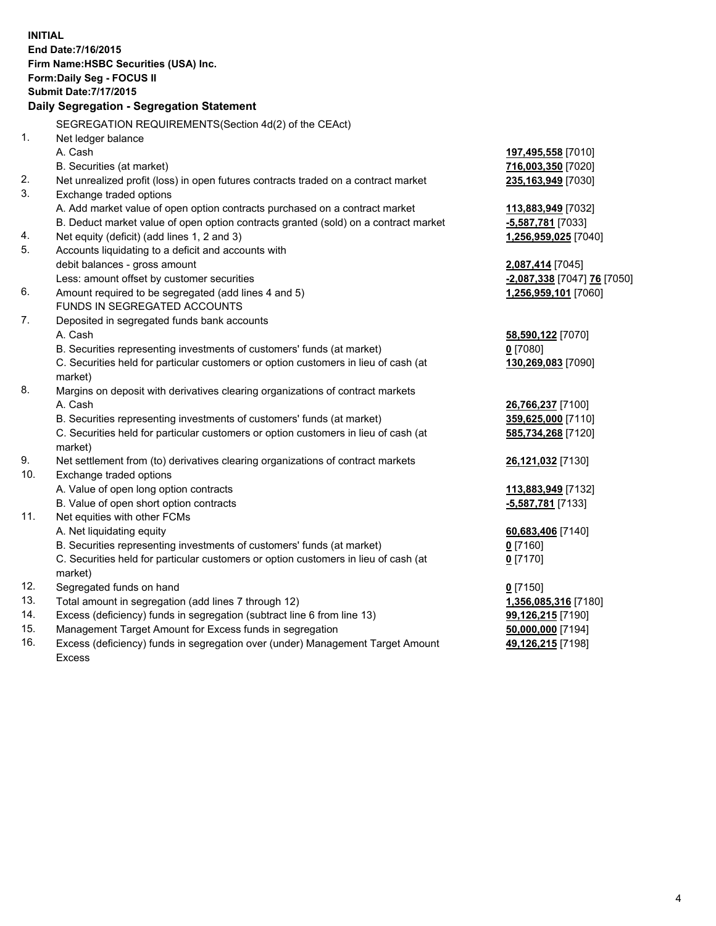**INITIAL End Date:7/16/2015 Firm Name:HSBC Securities (USA) Inc. Form:Daily Seg - FOCUS II Submit Date:7/17/2015 Daily Segregation - Segregation Statement** SEGREGATION REQUIREMENTS(Section 4d(2) of the CEAct) 1. Net ledger balance A. Cash **197,495,558** [7010] B. Securities (at market) **716,003,350** [7020] 2. Net unrealized profit (loss) in open futures contracts traded on a contract market **235,163,949** [7030] 3. Exchange traded options A. Add market value of open option contracts purchased on a contract market **113,883,949** [7032] B. Deduct market value of open option contracts granted (sold) on a contract market **-5,587,781** [7033] 4. Net equity (deficit) (add lines 1, 2 and 3) **1,256,959,025** [7040] 5. Accounts liquidating to a deficit and accounts with debit balances - gross amount **2,087,414** [7045] Less: amount offset by customer securities **-2,087,338** [7047] **76** [7050] 6. Amount required to be segregated (add lines 4 and 5) **1,256,959,101** [7060] FUNDS IN SEGREGATED ACCOUNTS 7. Deposited in segregated funds bank accounts A. Cash **58,590,122** [7070] B. Securities representing investments of customers' funds (at market) **0** [7080] C. Securities held for particular customers or option customers in lieu of cash (at market) **130,269,083** [7090] 8. Margins on deposit with derivatives clearing organizations of contract markets A. Cash **26,766,237** [7100] B. Securities representing investments of customers' funds (at market) **359,625,000** [7110] C. Securities held for particular customers or option customers in lieu of cash (at market) **585,734,268** [7120] 9. Net settlement from (to) derivatives clearing organizations of contract markets **26,121,032** [7130] 10. Exchange traded options A. Value of open long option contracts **113,883,949** [7132] B. Value of open short option contracts **-5,587,781** [7133] 11. Net equities with other FCMs A. Net liquidating equity **60,683,406** [7140] B. Securities representing investments of customers' funds (at market) **0** [7160] C. Securities held for particular customers or option customers in lieu of cash (at market) **0** [7170] 12. Segregated funds on hand **0** [7150] 13. Total amount in segregation (add lines 7 through 12) **1,356,085,316** [7180] 14. Excess (deficiency) funds in segregation (subtract line 6 from line 13) **99,126,215** [7190] 15. Management Target Amount for Excess funds in segregation **50,000,000** [7194] **49,126,215** [7198]

16. Excess (deficiency) funds in segregation over (under) Management Target Amount Excess